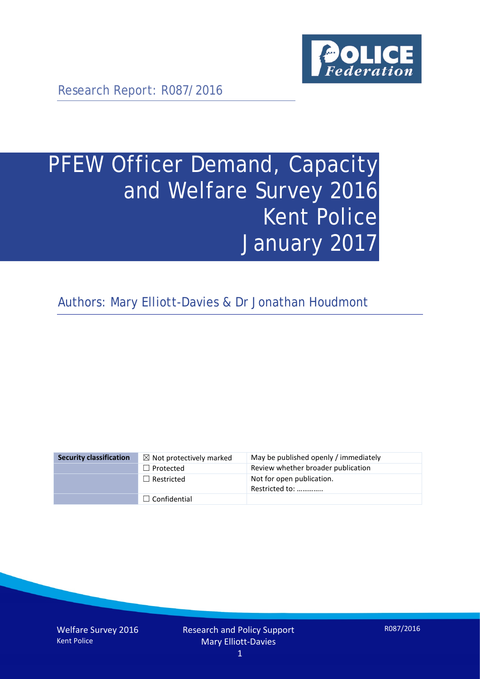

Research Report: R087/2016

# PFEW Officer Demand, Capacity and Welfare Survey 2016 Kent Police January 2017

Authors: Mary Elliott-Davies & Dr Jonathan Houdmont

| <b>Security classification</b> | $\boxtimes$ Not protectively marked | May be published openly / immediately       |
|--------------------------------|-------------------------------------|---------------------------------------------|
|                                | $\Box$ Protected                    | Review whether broader publication          |
|                                | $\Box$ Restricted                   | Not for open publication.<br>Restricted to: |
|                                | $\Box$ Confidential                 |                                             |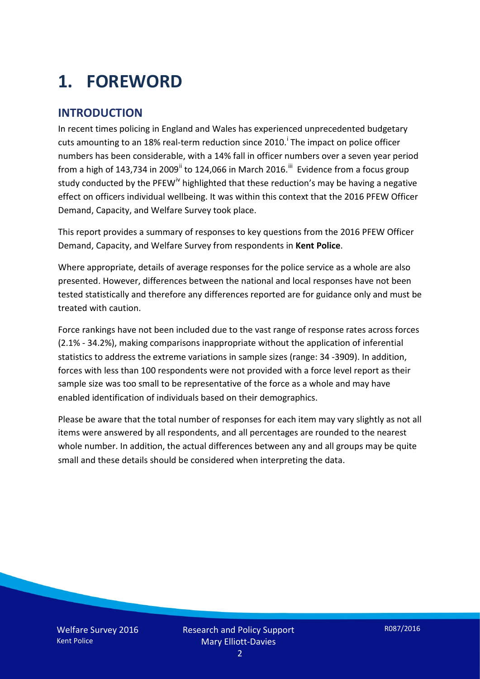# **1. FOREWORD**

### **INTRODUCTION**

In recent times policing in England and Wales has experienced unprecedented budgetary cuts amount[i](#page-15-0)ng to an 18% real-term reduction since 2010.<sup>1</sup> The impact on police officer numbers has been considerable, with a 14% fall in officer numbers over a seven year period from a high of 143,734 in 2009<sup>[ii](#page-15-1)</sup> to 124,066 in March 2016.<sup>[iii](#page-15-2)</sup> Evidence from a focus group study conducted by the PFEW<sup>[iv](#page-15-3)</sup> highlighted that these reduction's may be having a negative effect on officers individual wellbeing. It was within this context that the 2016 PFEW Officer Demand, Capacity, and Welfare Survey took place.

This report provides a summary of responses to key questions from the 2016 PFEW Officer Demand, Capacity, and Welfare Survey from respondents in **Kent Police**.

Where appropriate, details of average responses for the police service as a whole are also presented. However, differences between the national and local responses have not been tested statistically and therefore any differences reported are for guidance only and must be treated with caution.

Force rankings have not been included due to the vast range of response rates across forces (2.1% - 34.2%), making comparisons inappropriate without the application of inferential statistics to address the extreme variations in sample sizes (range: 34 -3909). In addition, forces with less than 100 respondents were not provided with a force level report as their sample size was too small to be representative of the force as a whole and may have enabled identification of individuals based on their demographics.

Please be aware that the total number of responses for each item may vary slightly as not all items were answered by all respondents, and all percentages are rounded to the nearest whole number. In addition, the actual differences between any and all groups may be quite small and these details should be considered when interpreting the data.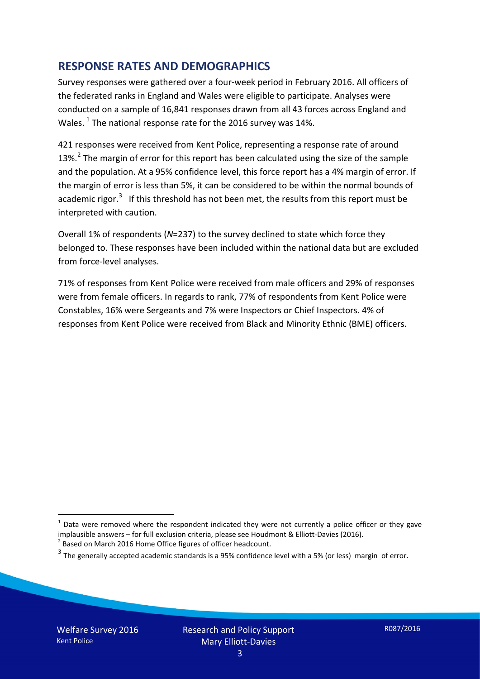### **RESPONSE RATES AND DEMOGRAPHICS**

Survey responses were gathered over a four-week period in February 2016. All officers of the federated ranks in England and Wales were eligible to participate. Analyses were conducted on a sample of 16,841 responses drawn from all 43 forces across England and Wales.  $^1$  $^1$  The national response rate for the 2016 survey was 14%.

421 responses were received from Kent Police, representing a response rate of around 13%.<sup>[2](#page-2-1)</sup> The margin of error for this report has been calculated using the size of the sample and the population. At a 95% confidence level, this force report has a 4% margin of error. If the margin of error is less than 5%, it can be considered to be within the normal bounds of academic rigor.<sup>[3](#page-2-2)</sup> If this threshold has not been met, the results from this report must be interpreted with caution.

Overall 1% of respondents (*N*=237) to the survey declined to state which force they belonged to. These responses have been included within the national data but are excluded from force-level analyses.

71% of responses from Kent Police were received from male officers and 29% of responses were from female officers. In regards to rank, 77% of respondents from Kent Police were Constables, 16% were Sergeants and 7% were Inspectors or Chief Inspectors. 4% of responses from Kent Police were received from Black and Minority Ethnic (BME) officers.

<u>.</u>

<span id="page-2-0"></span> $1$  Data were removed where the respondent indicated they were not currently a police officer or they gave implausible answers – for full exclusion criteria, please see Houdmont & Elliott-Davies (2016).<br><sup>2</sup> Based on March 2016 Home Office figures of officer headcount.

<span id="page-2-1"></span>

<span id="page-2-2"></span> $3$  The generally accepted academic standards is a 95% confidence level with a 5% (or less) margin of error.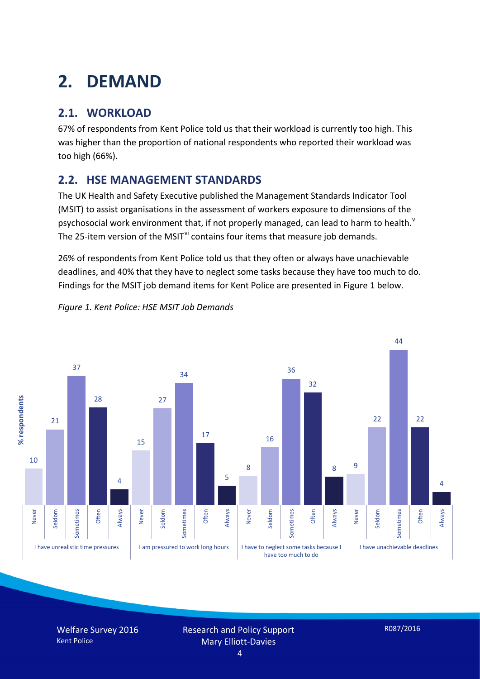# **2. DEMAND**

# **2.1. WORKLOAD**

67% of respondents from Kent Police told us that their workload is currently too high. This was higher than the proportion of national respondents who reported their workload was too high (66%).

## **2.2. HSE MANAGEMENT STANDARDS**

The UK Health and Safety Executive published the Management Standards Indicator Tool (MSIT) to assist organisations in the assessment of workers exposure to dimensions of the psychosocial work en[v](#page-15-4)ironment that, if not properly managed, can lead to harm to health.<sup>v</sup> The 25-item version of the MSIT<sup>[vi](#page-15-5)</sup> contains four items that measure job demands.

26% of respondents from Kent Police told us that they often or always have unachievable deadlines, and 40% that they have to neglect some tasks because they have too much to do. Findings for the MSIT job demand items for Kent Police are presented in Figure 1 below.

*Figure 1. Kent Police: HSE MSIT Job Demands*



Welfare Survey 2016 Kent Police

Research and Policy Support Mary Elliott-Davies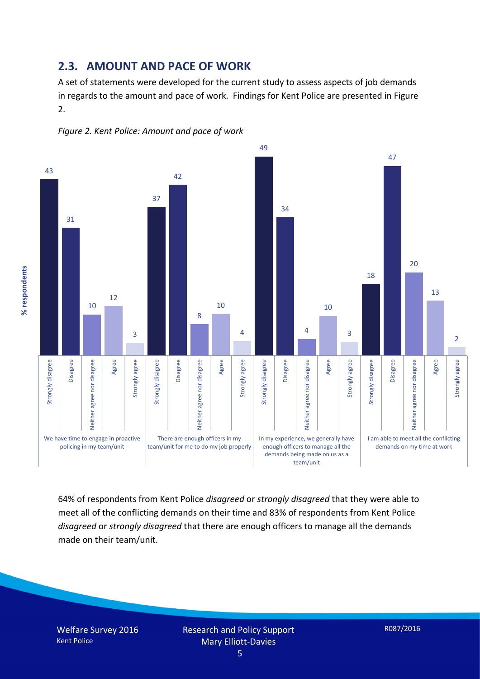#### **2.3. AMOUNT AND PACE OF WORK**

A set of statements were developed for the current study to assess aspects of job demands in regards to the amount and pace of work. Findings for Kent Police are presented in Figure 2.





64% of respondents from Kent Police *disagreed* or *strongly disagreed* that they were able to meet all of the conflicting demands on their time and 83% of respondents from Kent Police *disagreed* or *strongly disagreed* that there are enough officers to manage all the demands made on their team/unit.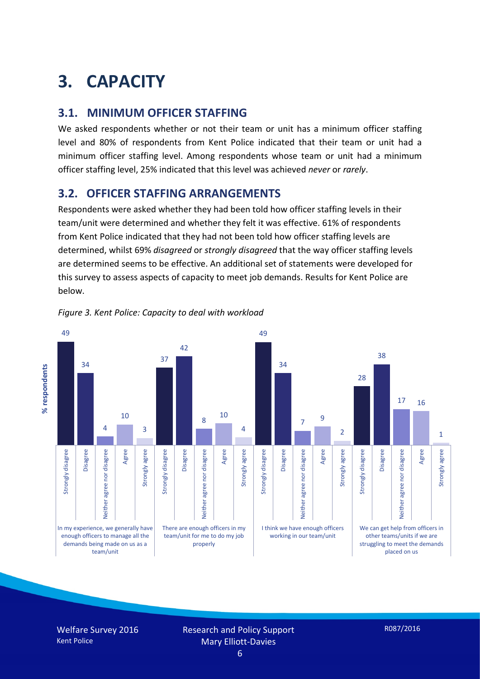# **3. CAPACITY**

### **3.1. MINIMUM OFFICER STAFFING**

We asked respondents whether or not their team or unit has a minimum officer staffing level and 80% of respondents from Kent Police indicated that their team or unit had a minimum officer staffing level. Among respondents whose team or unit had a minimum officer staffing level, 25% indicated that this level was achieved *never* or *rarely*.

### **3.2. OFFICER STAFFING ARRANGEMENTS**

Respondents were asked whether they had been told how officer staffing levels in their team/unit were determined and whether they felt it was effective. 61% of respondents from Kent Police indicated that they had not been told how officer staffing levels are determined, whilst 69% *disagreed* or *strongly disagreed* that the way officer staffing levels are determined seems to be effective. An additional set of statements were developed for this survey to assess aspects of capacity to meet job demands. Results for Kent Police are below.



*Figure 3. Kent Police: Capacity to deal with workload*

Welfare Survey 2016 Kent Police

Research and Policy Support Mary Elliott-Davies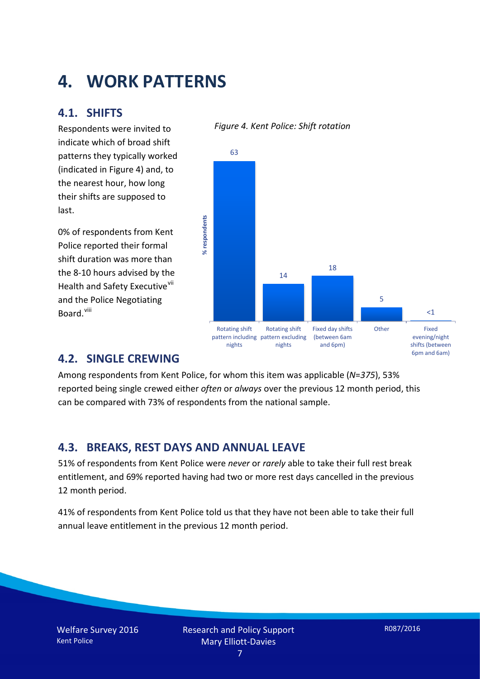# **4. WORK PATTERNS**

### **4.1. SHIFTS**

Respondents were invited to indicate which of broad shift patterns they typically worked (indicated in Figure 4) and, to the nearest hour, how long their shifts are supposed to last.

0% of respondents from Kent Police reported their formal shift duration was more than the 8-10 hours advised by the Health and Safety Executive<sup>[vii](#page-15-6)</sup> and the Police Negotiating Board.<sup>[viii](#page-15-7)</sup>

#### *Figure 4. Kent Police: Shift rotation*



### **4.2. SINGLE CREWING**

Among respondents from Kent Police, for whom this item was applicable (*N*=*375*), 53% reported being single crewed either *often* or *always* over the previous 12 month period, this can be compared with 73% of respondents from the national sample.

### **4.3. BREAKS, REST DAYS AND ANNUAL LEAVE**

51% of respondents from Kent Police were *never* or *rarely* able to take their full rest break entitlement, and 69% reported having had two or more rest days cancelled in the previous 12 month period.

41% of respondents from Kent Police told us that they have not been able to take their full annual leave entitlement in the previous 12 month period.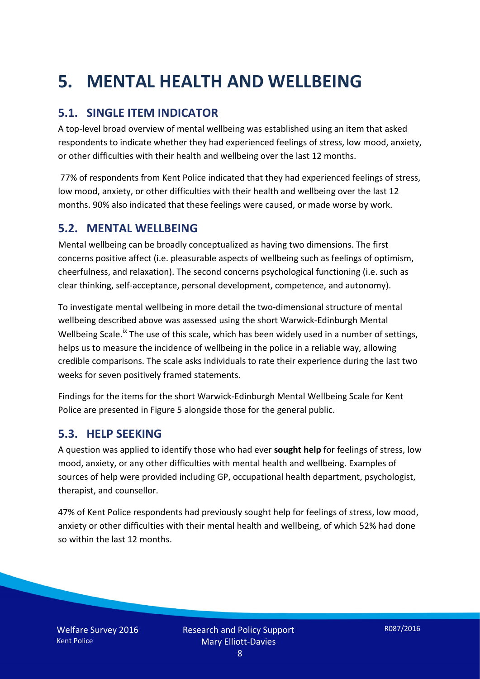# **5. MENTAL HEALTH AND WELLBEING**

# **5.1. SINGLE ITEM INDICATOR**

A top-level broad overview of mental wellbeing was established using an item that asked respondents to indicate whether they had experienced feelings of stress, low mood, anxiety, or other difficulties with their health and wellbeing over the last 12 months.

77% of respondents from Kent Police indicated that they had experienced feelings of stress, low mood, anxiety, or other difficulties with their health and wellbeing over the last 12 months. 90% also indicated that these feelings were caused, or made worse by work.

### **5.2. MENTAL WELLBEING**

Mental wellbeing can be broadly conceptualized as having two dimensions. The first concerns positive affect (i.e. pleasurable aspects of wellbeing such as feelings of optimism, cheerfulness, and relaxation). The second concerns psychological functioning (i.e. such as clear thinking, self-acceptance, personal development, competence, and autonomy).

To investigate mental wellbeing in more detail the two-dimensional structure of mental wellbeing described above was assessed using the short Warwick-Edinburgh Mental Wellbeing Scale.<sup>[ix](#page-15-8)</sup> The use of this scale, which has been widely used in a number of settings, helps us to measure the incidence of wellbeing in the police in a reliable way, allowing credible comparisons. The scale asks individuals to rate their experience during the last two weeks for seven positively framed statements.

Findings for the items for the short Warwick-Edinburgh Mental Wellbeing Scale for Kent Police are presented in Figure 5 alongside those for the general public.

### **5.3. HELP SEEKING**

A question was applied to identify those who had ever **sought help** for feelings of stress, low mood, anxiety, or any other difficulties with mental health and wellbeing. Examples of sources of help were provided including GP, occupational health department, psychologist, therapist, and counsellor.

47% of Kent Police respondents had previously sought help for feelings of stress, low mood, anxiety or other difficulties with their mental health and wellbeing, of which 52% had done so within the last 12 months.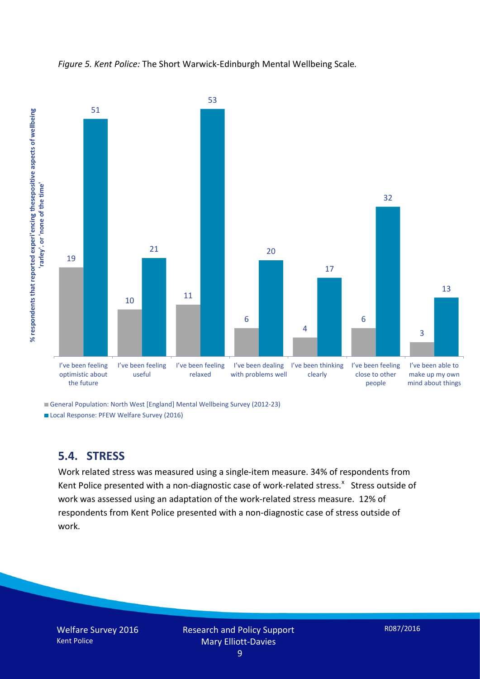



General Population: North West [England] Mental Wellbeing Survey (2012-23)

Local Response: PFEW Welfare Survey (2016)

### **5.4. STRESS**

Work related stress was measured using a single-item measure. 34% of respondents from Kent Police presented with a non-diagnostic case of work-related stress.<sup>[x](#page-15-9)</sup> Stress outside of work was assessed using an adaptation of the work-related stress measure. 12% of respondents from Kent Police presented with a non-diagnostic case of stress outside of work.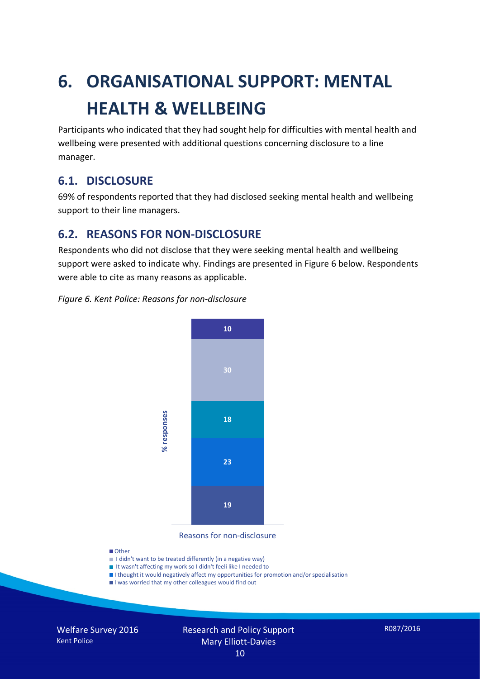# **6. ORGANISATIONAL SUPPORT: MENTAL HEALTH & WELLBEING**

Participants who indicated that they had sought help for difficulties with mental health and wellbeing were presented with additional questions concerning disclosure to a line manager.

### **6.1. DISCLOSURE**

69% of respondents reported that they had disclosed seeking mental health and wellbeing support to their line managers.

### **6.2. REASONS FOR NON-DISCLOSURE**

Respondents who did not disclose that they were seeking mental health and wellbeing support were asked to indicate why. Findings are presented in Figure 6 below. Respondents were able to cite as many reasons as applicable.

#### *Figure 6. Kent Police: Reasons for non-disclosure*



Reasons for non-disclosure

#### **D**Other

- I didn't want to be treated differently (in a negative way)
- I It wasn't affecting my work so I didn't feeli like I needed to
- I thought it would negatively affect my opportunities for promotion and/or specialisation
- I was worried that my other colleagues would find out

Welfare Survey 2016 Kent Police

#### Research and Policy Support Mary Elliott-Davies 10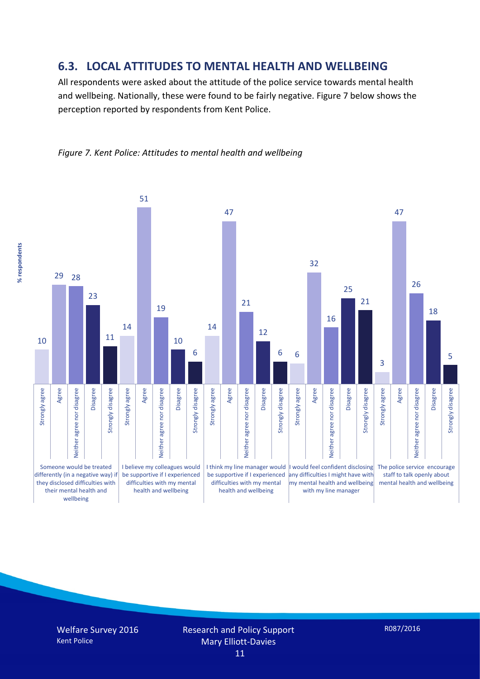### **6.3. LOCAL ATTITUDES TO MENTAL HEALTH AND WELLBEING**

All respondents were asked about the attitude of the police service towards mental health and wellbeing. Nationally, these were found to be fairly negative. Figure 7 below shows the perception reported by respondents from Kent Police.



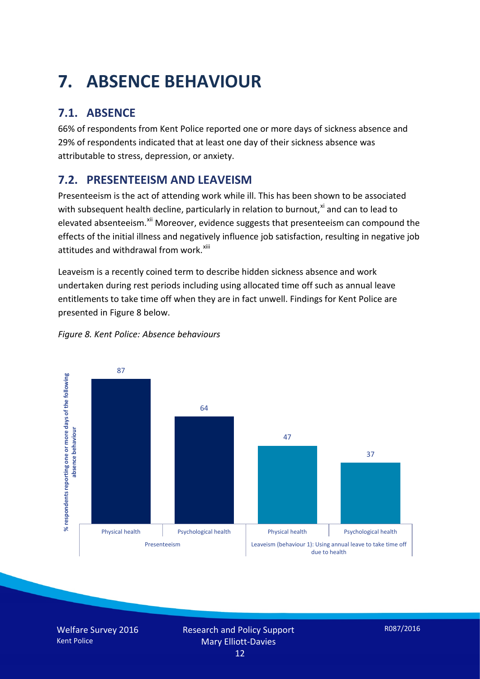# **7. ABSENCE BEHAVIOUR**

# **7.1. ABSENCE**

66% of respondents from Kent Police reported one or more days of sickness absence and 29% of respondents indicated that at least one day of their sickness absence was attributable to stress, depression, or anxiety.

# **7.2. PRESENTEEISM AND LEAVEISM**

Presenteeism is the act of attending work while ill. This has been shown to be associated with subsequent health decline, particularly in relation to burnout, $x_i$  and can to lead to elevated absenteeism.<sup>[xii](#page-16-1)</sup> Moreover, evidence suggests that presenteeism can compound the effects of the initial illness and negatively influence job satisfaction, resulting in negative job attitudes and withdrawal from work.<sup>[xiii](#page-16-2)</sup>

Leaveism is a recently coined term to describe hidden sickness absence and work undertaken during rest periods including using allocated time off such as annual leave entitlements to take time off when they are in fact unwell. Findings for Kent Police are presented in Figure 8 below.



*Figure 8. Kent Police: Absence behaviours*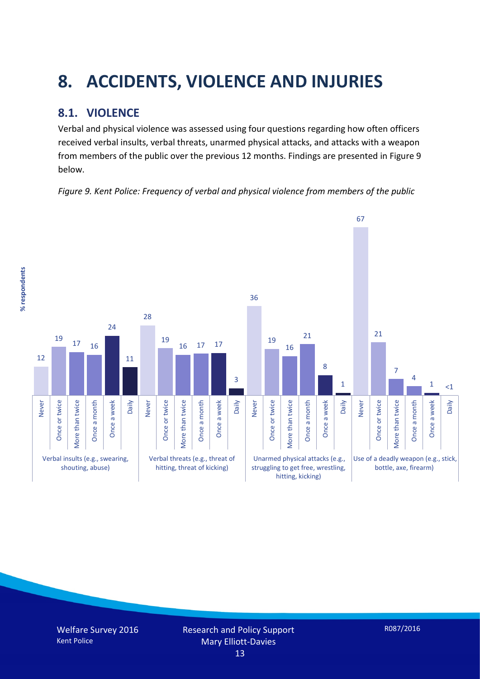# **8. ACCIDENTS, VIOLENCE AND INJURIES**

# **8.1. VIOLENCE**

Verbal and physical violence was assessed using four questions regarding how often officers received verbal insults, verbal threats, unarmed physical attacks, and attacks with a weapon from members of the public over the previous 12 months. Findings are presented in Figure 9 below.

*Figure 9. Kent Police: Frequency of verbal and physical violence from members of the public*

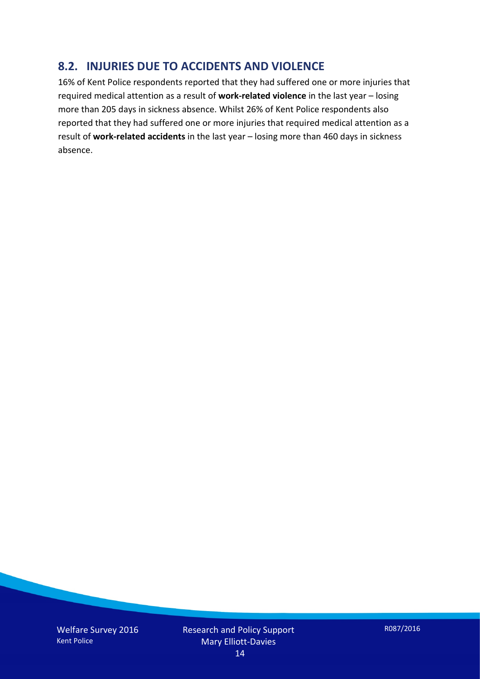### **8.2. INJURIES DUE TO ACCIDENTS AND VIOLENCE**

16% of Kent Police respondents reported that they had suffered one or more injuries that required medical attention as a result of **work-related violence** in the last year – losing more than 205 days in sickness absence. Whilst 26% of Kent Police respondents also reported that they had suffered one or more injuries that required medical attention as a result of **work-related accidents** in the last year – losing more than 460 days in sickness absence.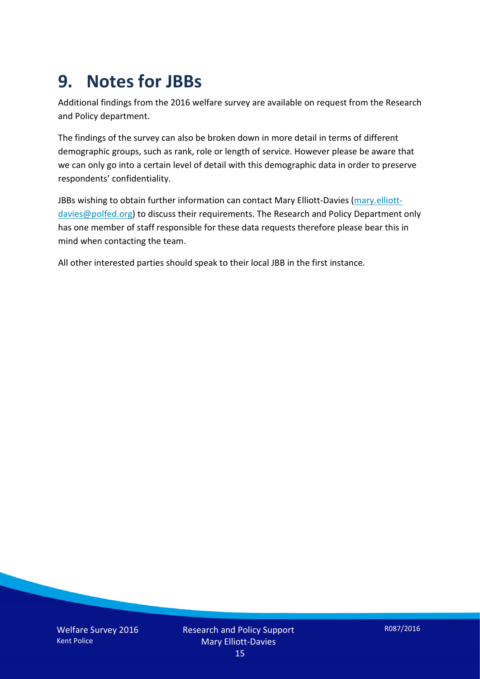# **9. Notes for JBBs**

Additional findings from the 2016 welfare survey are available on request from the Research and Policy department.

The findings of the survey can also be broken down in more detail in terms of different demographic groups, such as rank, role or length of service. However please be aware that we can only go into a certain level of detail with this demographic data in order to preserve respondents' confidentiality.

JBBs wishing to obtain further information can contact Mary Elliott-Davies [\(mary.elliott](mailto:mary.elliott-davies@polfed.org)[davies@polfed.org\)](mailto:mary.elliott-davies@polfed.org) to discuss their requirements. The Research and Policy Department only has one member of staff responsible for these data requests therefore please bear this in mind when contacting the team.

All other interested parties should speak to their local JBB in the first instance.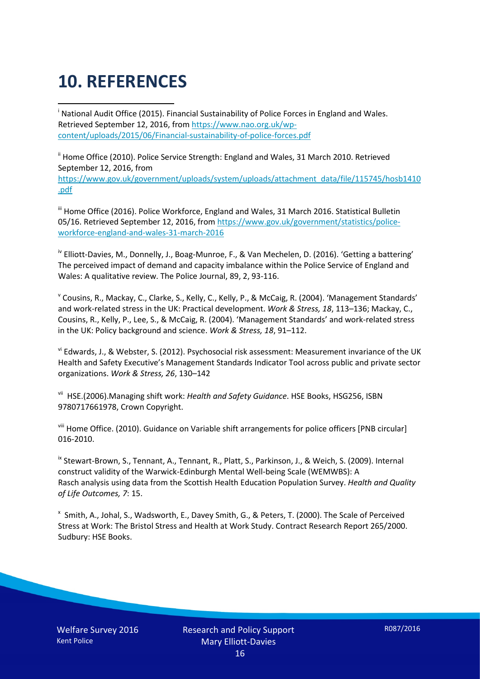# **10. REFERENCES**

<span id="page-15-0"></span>i National Audit Office (2015). Financial Sustainability of Police Forces in England and Wales. Retrieved September 12, 2016, fro[m https://www.nao.org.uk/wp](https://www.nao.org.uk/wp-content/uploads/2015/06/Financial-sustainability-of-police-forces.pdf)[content/uploads/2015/06/Financial-sustainability-of-police-forces.pdf](https://www.nao.org.uk/wp-content/uploads/2015/06/Financial-sustainability-of-police-forces.pdf)

<span id="page-15-1"></span><sup>ii</sup> Home Office (2010). Police Service Strength: England and Wales, 31 March 2010. Retrieved September 12, 2016, from [https://www.gov.uk/government/uploads/system/uploads/attachment\\_data/file/115745/hosb1410](https://www.gov.uk/government/uploads/system/uploads/attachment_data/file/115745/hosb1410.pdf) [.pdf](https://www.gov.uk/government/uploads/system/uploads/attachment_data/file/115745/hosb1410.pdf)

<span id="page-15-2"></span><sup>iii</sup> Home Office (2016). Police Workforce, England and Wales, 31 March 2016. Statistical Bulletin 05/16. Retrieved September 12, 2016, fro[m https://www.gov.uk/government/statistics/police](https://www.gov.uk/government/statistics/police-workforce-england-and-wales-31-march-2016)[workforce-england-and-wales-31-march-2016](https://www.gov.uk/government/statistics/police-workforce-england-and-wales-31-march-2016)

<span id="page-15-3"></span><sup>iv</sup> Elliott-Davies, M., Donnelly, J., Boag-Munroe, F., & Van Mechelen, D. (2016). 'Getting a battering' The perceived impact of demand and capacity imbalance within the Police Service of England and Wales: A qualitative review. The Police Journal, 89, 2, 93-116.

<span id="page-15-4"></span><sup>v</sup> Cousins, R., Mackay, C., Clarke, S., Kelly, C., Kelly, P., & McCaig, R. (2004). 'Management Standards' and work-related stress in the UK: Practical development. *Work & Stress, 18*, 113–136; Mackay, C., Cousins, R., Kelly, P., Lee, S., & McCaig, R. (2004). 'Management Standards' and work-related stress in the UK: Policy background and science. *Work & Stress, 18*, 91–112.

<span id="page-15-5"></span>vi Edwards, J., & Webster, S. (2012). Psychosocial risk assessment: Measurement invariance of the UK Health and Safety Executive's Management Standards Indicator Tool across public and private sector organizations. *Work & Stress, 26*, 130–142

<span id="page-15-6"></span>vii HSE.(2006).Managing shift work: *Health and Safety Guidance*. HSE Books, HSG256, ISBN 9780717661978, Crown Copyright.

<span id="page-15-7"></span>viii Home Office. (2010). Guidance on Variable shift arrangements for police officers [PNB circular] 016-2010.

<span id="page-15-8"></span><sup>ix</sup> Stewart-Brown, S., Tennant, A., Tennant, R., Platt, S., Parkinson, J., & Weich, S. (2009). Internal construct validity of the Warwick-Edinburgh Mental Well-being Scale (WEMWBS): A Rasch analysis using data from the Scottish Health Education Population Survey. *Health and Quality of Life Outcomes, 7*: 15.

<span id="page-15-9"></span>x Smith, A., Johal, S., Wadsworth, E., Davey Smith, G., & Peters, T. (2000). The Scale of Perceived Stress at Work: The Bristol Stress and Health at Work Study. Contract Research Report 265/2000. Sudbury: HSE Books.